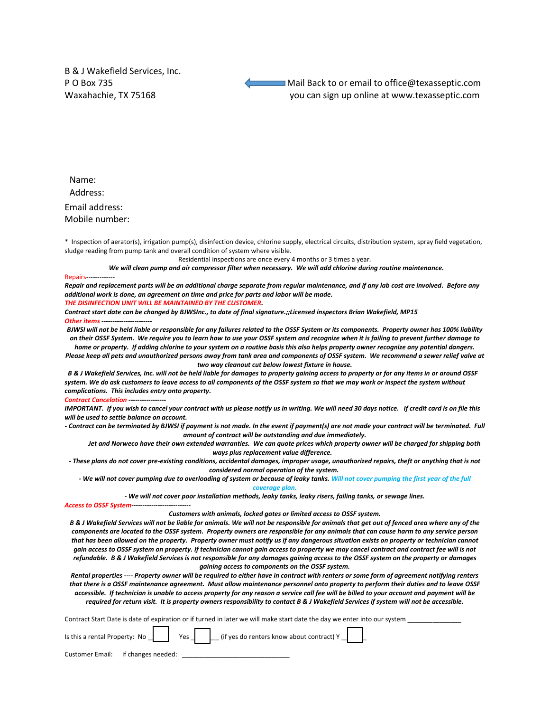B & J Wakefield Services, Inc.

P O Box 735 Mail Back to or email to office@texasseptic.com Waxahachie, TX 75168 you can sign up online at www.texasseptic.com

Name: Address:

Email address: Mobile number:

\* Inspection of aerator(s), irrigation pump(s), disinfection device, chlorine supply, electrical circuits, distribution system, spray field vegetation, sludge reading from pump tank and overall condition of system where visible.

Residential inspections are once every 4 months or 3 times a year.

*We will clean pump and air compressor filter when necessary. We will add chlorine during routine maintenance.*

## Repairs--

*Repair and replacement parts will be an additional charge separate from regular maintenance, and if any lab cost are involved. Before any additional work is done, an agreement on time and price for parts and labor will be made.* 

*THE DISINFECTION UNIT WILL BE MAINTAINED BY THE CUSTOMER.* 

*Contract start date can be changed by BJWSInc., to date of final signature.;;Licensed inspectors Brian Wakefield, MP15 Other items* 

*BJWSI will not be held liable or responsible for any failures related to the OSSF System or its components. Property owner has 100% liability on their OSSF System. We require you to learn how to use your OSSF system and recognize when it is failing to prevent further damage to home or property. If adding chlorine to your system on a routine basis this also helps property owner recognize any potential dangers.* 

*Please keep all pets and unauthorized persons away from tank area and components of OSSF system. We recommend a sewer relief valve at two way cleanout cut below lowest fixture in house.*

 *B & J Wakefield Services, Inc. will not be held liable for damages to property gaining access to property or for any items in or around OSSF system. We do ask customers to leave access to all components of the OSSF system so that we may work or inspect the system without complications. This includes entry onto property.*

**Contract Cancelation --**

*IMPORTANT. If you wish to cancel your contract with us please notify us in writing. We will need 30 days notice. If credit card is on file this will be used to settle balance on account.* 

*- Contract can be terminated by BJWSI if payment is not made. In the event if payment(s) are not made your contract will be terminated. Full amount of contract will be outstanding and due immediately.* 

*Jet and Norweco have their own extended warranties. We can quote prices which property owner will be charged for shipping both ways plus replacement value difference.*

*- These plans do not cover pre-existing conditions, accidental damages, improper usage, unauthorized repairs, theft or anything that is not considered normal operation of the system.*

*- We will not cover pumping due to overloading of system or because of leaky tanks. Will not cover pumping the first year of the full coverage plan.*

*- We will not cover poor installation methods, leaky tanks, leaky risers, failing tanks, or sewage lines.*

*Access to OSSF System---------------------------*

## *Customers with animals, locked gates or limited access to OSSF system.*

*B & J Wakefield Services will not be liable for animals. We will not be responsible for animals that get out of fenced area where any of the components are located to the OSSF system. Property owners are responsible for any animals that can cause harm to any service person that has been allowed on the property. Property owner must notify us if any dangerous situation exists on property or technician cannot gain access to OSSF system on property. If technician cannot gain access to property we may cancel contract and contract fee will is not refundable. B & J Wakefield Services is not responsible for any damages gaining access to the OSSF system on the property or damages gaining access to components on the OSSF system.* 

*Rental properties ---- Property owner will be required to either have in contract with renters or some form of agreement notifying renters that there is a OSSF maintenance agreement. Must allow maintenance personnel onto property to perform their duties and to leave OSSF accessible. If technician is unable to access property for any reason a service call fee will be billed to your account and payment will be required for return visit. It is property owners responsibility to contact B & J Wakefield Services if system will not be accessible.* 

Contract Start Date is date of expiration or if turned in later we will make start date the day we enter into our system \_\_\_\_\_\_\_\_\_\_\_\_\_\_\_

|                                    |  | Is this a rental Property: No $\Box$ Yes $\Box$ (if yes do renters know about contract) Y |
|------------------------------------|--|-------------------------------------------------------------------------------------------|
| Customer Email: if changes needed: |  |                                                                                           |